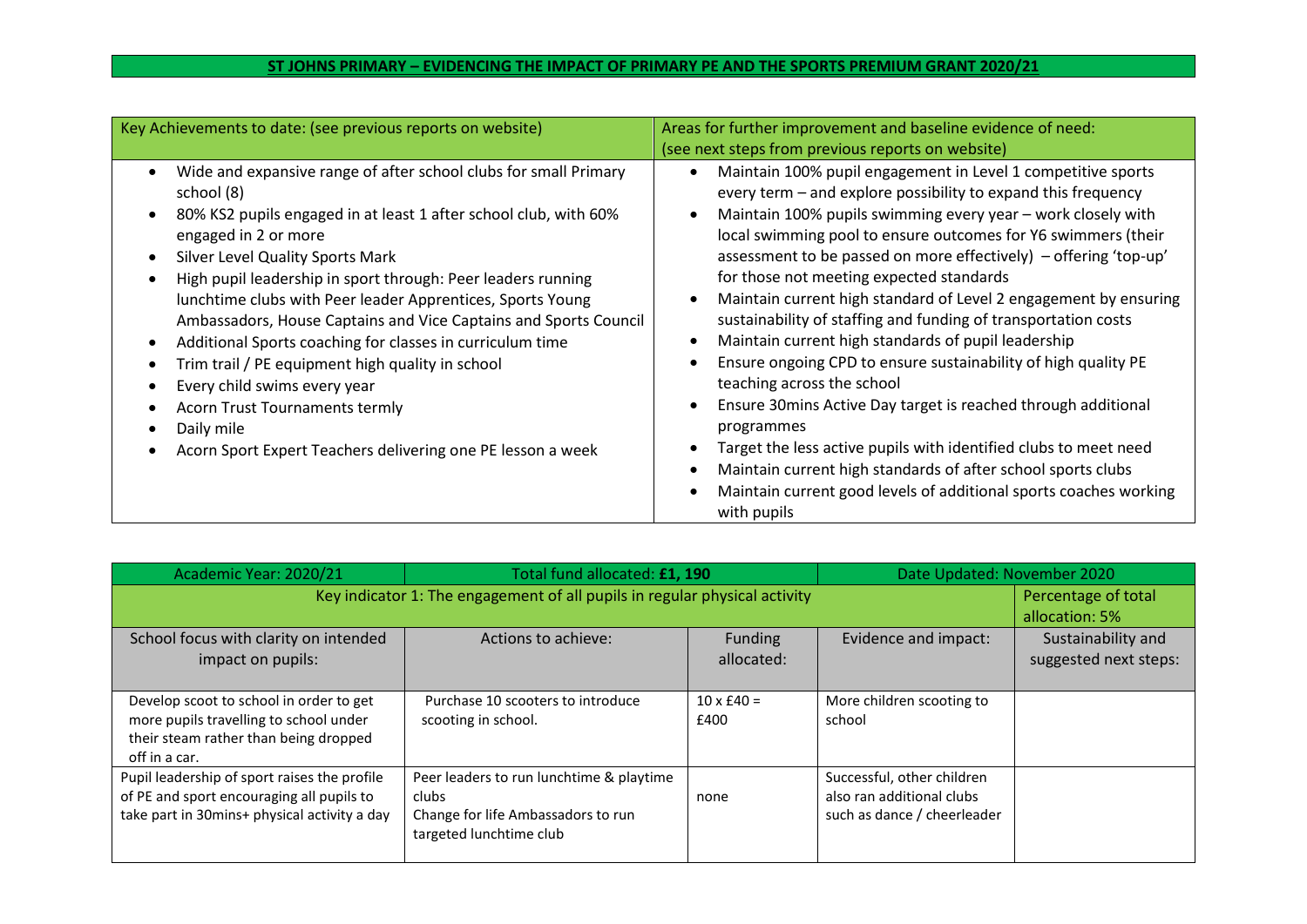## **ST JOHNS PRIMARY – EVIDENCING THE IMPACT OF PRIMARY PE AND THE SPORTS PREMIUM GRANT 2020/21**

| Key Achievements to date: (see previous reports on website)                                                                                                                                                                                                                                                                                                                                                                                                                                                                                                                                                                                                                                                                                 | Areas for further improvement and baseline evidence of need:<br>(see next steps from previous reports on website)                                                                                                                                                                                                                                                                                                                                                                                                                                                                                                                                                                                                                                                                                                                                                                                                                                                                  |
|---------------------------------------------------------------------------------------------------------------------------------------------------------------------------------------------------------------------------------------------------------------------------------------------------------------------------------------------------------------------------------------------------------------------------------------------------------------------------------------------------------------------------------------------------------------------------------------------------------------------------------------------------------------------------------------------------------------------------------------------|------------------------------------------------------------------------------------------------------------------------------------------------------------------------------------------------------------------------------------------------------------------------------------------------------------------------------------------------------------------------------------------------------------------------------------------------------------------------------------------------------------------------------------------------------------------------------------------------------------------------------------------------------------------------------------------------------------------------------------------------------------------------------------------------------------------------------------------------------------------------------------------------------------------------------------------------------------------------------------|
| Wide and expansive range of after school clubs for small Primary<br>$\bullet$<br>school (8)<br>80% KS2 pupils engaged in at least 1 after school club, with 60%<br>$\bullet$<br>engaged in 2 or more<br>Silver Level Quality Sports Mark<br>$\bullet$<br>High pupil leadership in sport through: Peer leaders running<br>lunchtime clubs with Peer leader Apprentices, Sports Young<br>Ambassadors, House Captains and Vice Captains and Sports Council<br>Additional Sports coaching for classes in curriculum time<br>$\bullet$<br>Trim trail / PE equipment high quality in school<br>Every child swims every year<br><b>Acorn Trust Tournaments termly</b><br>Daily mile<br>Acorn Sport Expert Teachers delivering one PE lesson a week | Maintain 100% pupil engagement in Level 1 competitive sports<br>every term – and explore possibility to expand this frequency<br>Maintain 100% pupils swimming every year - work closely with<br>local swimming pool to ensure outcomes for Y6 swimmers (their<br>assessment to be passed on more effectively) - offering 'top-up'<br>for those not meeting expected standards<br>Maintain current high standard of Level 2 engagement by ensuring<br>sustainability of staffing and funding of transportation costs<br>Maintain current high standards of pupil leadership<br>Ensure ongoing CPD to ensure sustainability of high quality PE<br>teaching across the school<br>Ensure 30mins Active Day target is reached through additional<br>programmes<br>Target the less active pupils with identified clubs to meet need<br>Maintain current high standards of after school sports clubs<br>Maintain current good levels of additional sports coaches working<br>with pupils |

| Academic Year: 2020/21                                                     | Total fund allocated: £1, 190            |                   | Date Updated: November 2020 |                       |
|----------------------------------------------------------------------------|------------------------------------------|-------------------|-----------------------------|-----------------------|
| Key indicator 1: The engagement of all pupils in regular physical activity |                                          |                   |                             | Percentage of total   |
|                                                                            |                                          |                   |                             | allocation: 5%        |
| School focus with clarity on intended                                      | Actions to achieve:                      | <b>Funding</b>    | Evidence and impact:        | Sustainability and    |
| impact on pupils:                                                          |                                          | allocated:        |                             | suggested next steps: |
|                                                                            |                                          |                   |                             |                       |
| Develop scoot to school in order to get                                    | Purchase 10 scooters to introduce        | $10 \times £40 =$ | More children scooting to   |                       |
| more pupils travelling to school under                                     | scooting in school.                      | £400              | school                      |                       |
| their steam rather than being dropped                                      |                                          |                   |                             |                       |
| off in a car.                                                              |                                          |                   |                             |                       |
| Pupil leadership of sport raises the profile                               | Peer leaders to run lunchtime & playtime |                   | Successful, other children  |                       |
| of PE and sport encouraging all pupils to                                  | <b>clubs</b>                             | none              | also ran additional clubs   |                       |
| take part in 30mins+ physical activity a day                               | Change for life Ambassadors to run       |                   | such as dance / cheerleader |                       |
|                                                                            | targeted lunchtime club                  |                   |                             |                       |
|                                                                            |                                          |                   |                             |                       |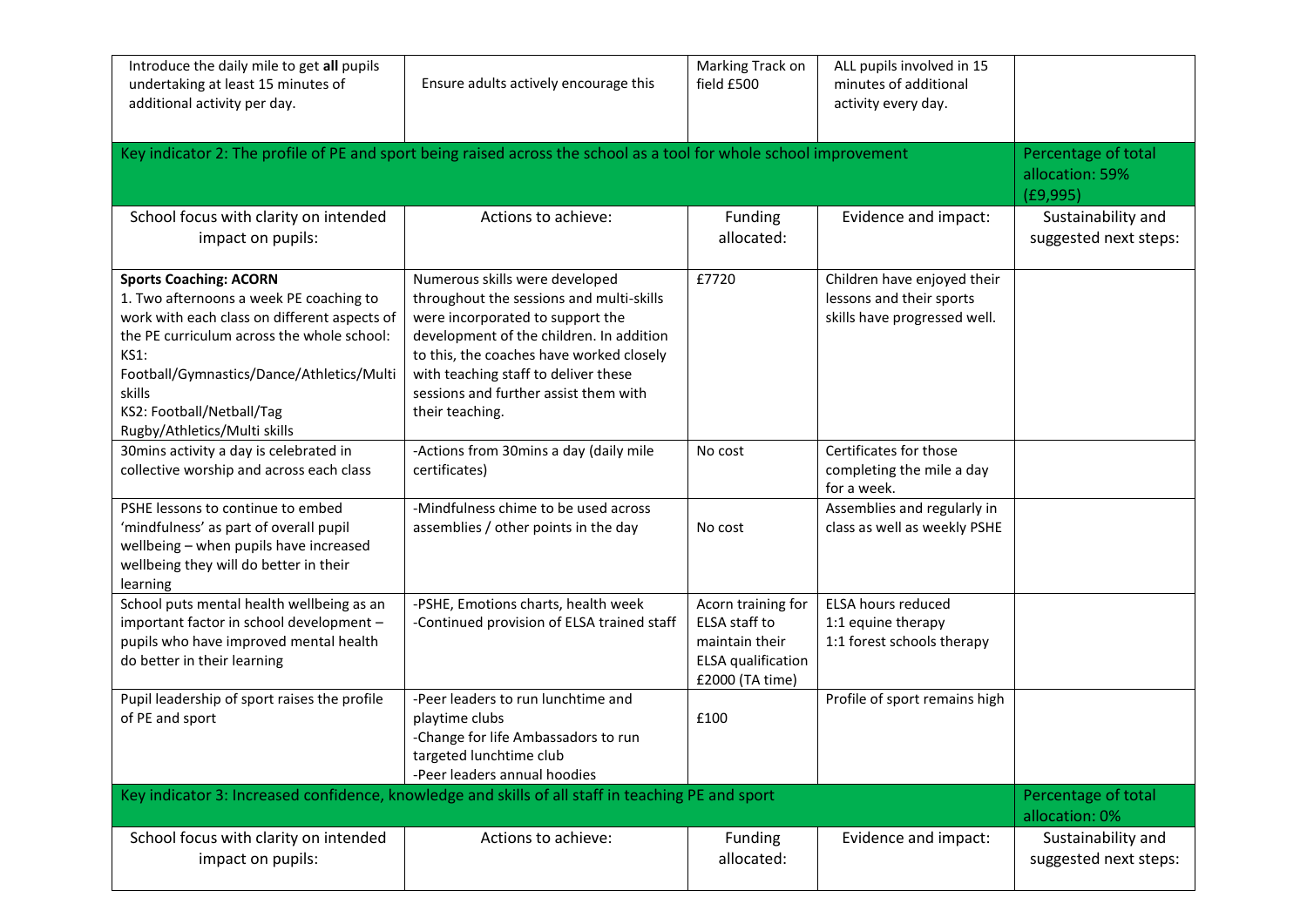| Introduce the daily mile to get all pupils<br>undertaking at least 15 minutes of<br>additional activity per day.                                                                                                                                                                                          | Ensure adults actively encourage this                                                                                                                                                                                                                                                                      | Marking Track on<br>field £500                                                                 | ALL pupils involved in 15<br>minutes of additional<br>activity every day.               |                                                    |
|-----------------------------------------------------------------------------------------------------------------------------------------------------------------------------------------------------------------------------------------------------------------------------------------------------------|------------------------------------------------------------------------------------------------------------------------------------------------------------------------------------------------------------------------------------------------------------------------------------------------------------|------------------------------------------------------------------------------------------------|-----------------------------------------------------------------------------------------|----------------------------------------------------|
| Key indicator 2: The profile of PE and sport being raised across the school as a tool for whole school improvement                                                                                                                                                                                        |                                                                                                                                                                                                                                                                                                            |                                                                                                |                                                                                         | Percentage of total<br>allocation: 59%<br>(E9,995) |
| School focus with clarity on intended<br>impact on pupils:                                                                                                                                                                                                                                                | Actions to achieve:                                                                                                                                                                                                                                                                                        | Funding<br>allocated:                                                                          | Evidence and impact:                                                                    | Sustainability and<br>suggested next steps:        |
| <b>Sports Coaching: ACORN</b><br>1. Two afternoons a week PE coaching to<br>work with each class on different aspects of<br>the PE curriculum across the whole school:<br><b>KS1:</b><br>Football/Gymnastics/Dance/Athletics/Multi<br>skills<br>KS2: Football/Netball/Tag<br>Rugby/Athletics/Multi skills | Numerous skills were developed<br>throughout the sessions and multi-skills<br>were incorporated to support the<br>development of the children. In addition<br>to this, the coaches have worked closely<br>with teaching staff to deliver these<br>sessions and further assist them with<br>their teaching. | £7720                                                                                          | Children have enjoyed their<br>lessons and their sports<br>skills have progressed well. |                                                    |
| 30mins activity a day is celebrated in<br>collective worship and across each class                                                                                                                                                                                                                        | -Actions from 30mins a day (daily mile<br>certificates)                                                                                                                                                                                                                                                    | No cost                                                                                        | Certificates for those<br>completing the mile a day<br>for a week.                      |                                                    |
| PSHE lessons to continue to embed<br>'mindfulness' as part of overall pupil<br>wellbeing - when pupils have increased<br>wellbeing they will do better in their<br>learning                                                                                                                               | -Mindfulness chime to be used across<br>assemblies / other points in the day                                                                                                                                                                                                                               | No cost                                                                                        | Assemblies and regularly in<br>class as well as weekly PSHE                             |                                                    |
| School puts mental health wellbeing as an<br>important factor in school development -<br>pupils who have improved mental health<br>do better in their learning                                                                                                                                            | -PSHE, Emotions charts, health week<br>-Continued provision of ELSA trained staff                                                                                                                                                                                                                          | Acorn training for<br>ELSA staff to<br>maintain their<br>ELSA qualification<br>£2000 (TA time) | <b>ELSA hours reduced</b><br>1:1 equine therapy<br>1:1 forest schools therapy           |                                                    |
| Pupil leadership of sport raises the profile<br>of PE and sport                                                                                                                                                                                                                                           | -Peer leaders to run lunchtime and<br>playtime clubs<br>-Change for life Ambassadors to run<br>targeted lunchtime club<br>-Peer leaders annual hoodies                                                                                                                                                     | £100                                                                                           | Profile of sport remains high                                                           |                                                    |
| Key indicator 3: Increased confidence, knowledge and skills of all staff in teaching PE and sport                                                                                                                                                                                                         | Percentage of total<br>allocation: 0%                                                                                                                                                                                                                                                                      |                                                                                                |                                                                                         |                                                    |
| School focus with clarity on intended<br>impact on pupils:                                                                                                                                                                                                                                                | Actions to achieve:                                                                                                                                                                                                                                                                                        | Funding<br>allocated:                                                                          | Evidence and impact:                                                                    | Sustainability and<br>suggested next steps:        |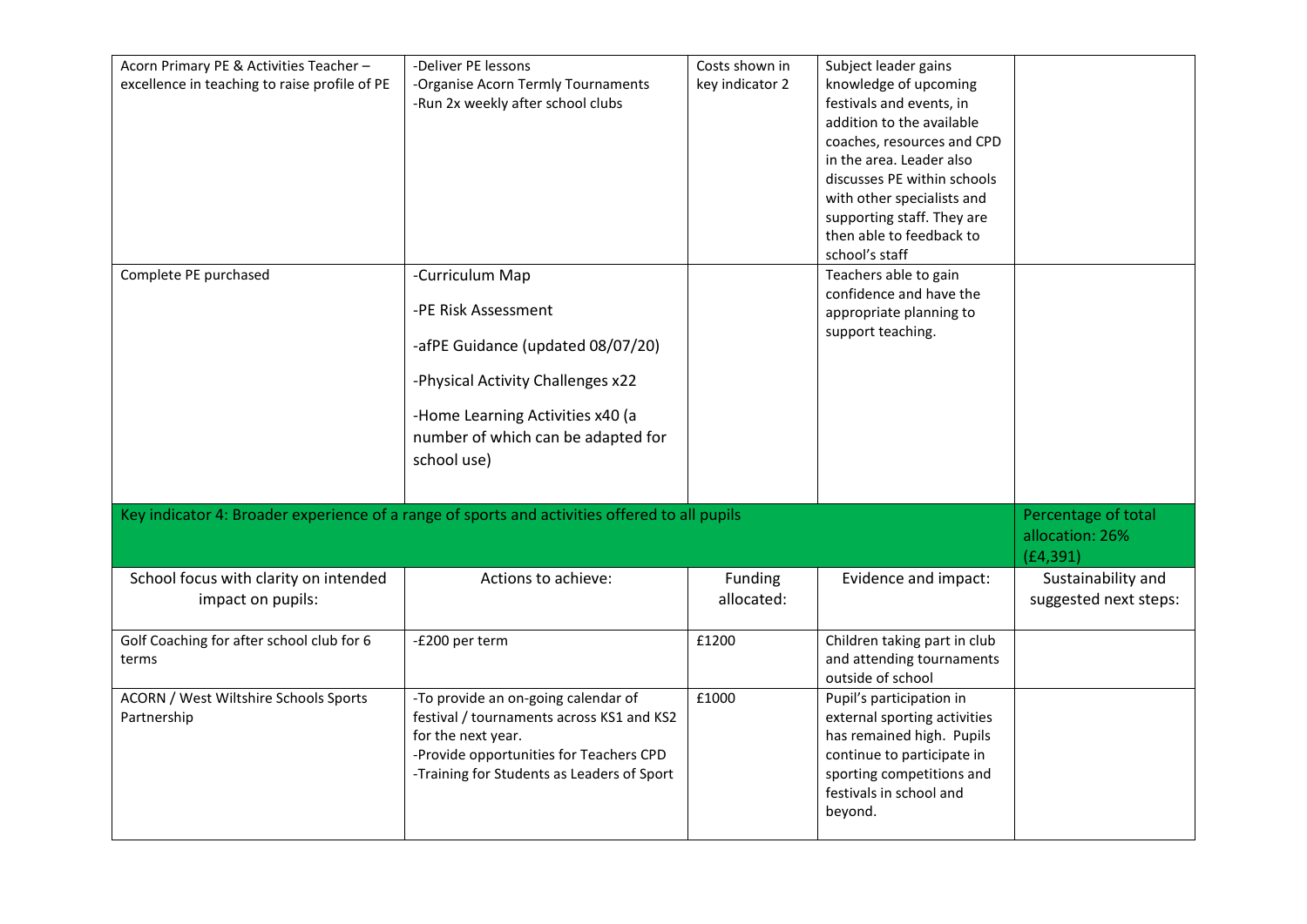| Acorn Primary PE & Activities Teacher -<br>excellence in teaching to raise profile of PE      | -Deliver PE lessons<br>-Organise Acorn Termly Tournaments     | Costs shown in<br>key indicator 2 | Subject leader gains<br>knowledge of upcoming             |                                        |
|-----------------------------------------------------------------------------------------------|---------------------------------------------------------------|-----------------------------------|-----------------------------------------------------------|----------------------------------------|
|                                                                                               | -Run 2x weekly after school clubs                             |                                   | festivals and events, in                                  |                                        |
|                                                                                               |                                                               |                                   | addition to the available<br>coaches, resources and CPD   |                                        |
|                                                                                               |                                                               |                                   | in the area. Leader also                                  |                                        |
|                                                                                               |                                                               |                                   | discusses PE within schools<br>with other specialists and |                                        |
|                                                                                               |                                                               |                                   | supporting staff. They are                                |                                        |
|                                                                                               |                                                               |                                   | then able to feedback to                                  |                                        |
| Complete PE purchased                                                                         | -Curriculum Map                                               |                                   | school's staff<br>Teachers able to gain                   |                                        |
|                                                                                               |                                                               |                                   | confidence and have the                                   |                                        |
|                                                                                               | -PE Risk Assessment                                           |                                   | appropriate planning to                                   |                                        |
|                                                                                               | -afPE Guidance (updated 08/07/20)                             |                                   | support teaching.                                         |                                        |
|                                                                                               | -Physical Activity Challenges x22                             |                                   |                                                           |                                        |
|                                                                                               | -Home Learning Activities x40 (a                              |                                   |                                                           |                                        |
|                                                                                               | number of which can be adapted for                            |                                   |                                                           |                                        |
|                                                                                               | school use)                                                   |                                   |                                                           |                                        |
|                                                                                               |                                                               |                                   |                                                           |                                        |
| Key indicator 4: Broader experience of a range of sports and activities offered to all pupils |                                                               |                                   |                                                           | Percentage of total<br>allocation: 26% |
|                                                                                               |                                                               |                                   |                                                           | (E4, 391)                              |
| School focus with clarity on intended                                                         | Actions to achieve:                                           | Funding                           | Evidence and impact:                                      | Sustainability and                     |
| impact on pupils:                                                                             |                                                               | allocated:                        |                                                           | suggested next steps:                  |
| Golf Coaching for after school club for 6                                                     | -£200 per term                                                | £1200                             | Children taking part in club                              |                                        |
| terms                                                                                         |                                                               |                                   | and attending tournaments<br>outside of school            |                                        |
| ACORN / West Wiltshire Schools Sports                                                         | -To provide an on-going calendar of                           | £1000                             | Pupil's participation in                                  |                                        |
| Partnership                                                                                   | festival / tournaments across KS1 and KS2                     |                                   | external sporting activities                              |                                        |
|                                                                                               | for the next year.<br>-Provide opportunities for Teachers CPD |                                   | has remained high. Pupils<br>continue to participate in   |                                        |
|                                                                                               | -Training for Students as Leaders of Sport                    |                                   | sporting competitions and                                 |                                        |
|                                                                                               |                                                               |                                   | festivals in school and                                   |                                        |
|                                                                                               |                                                               |                                   | beyond.                                                   |                                        |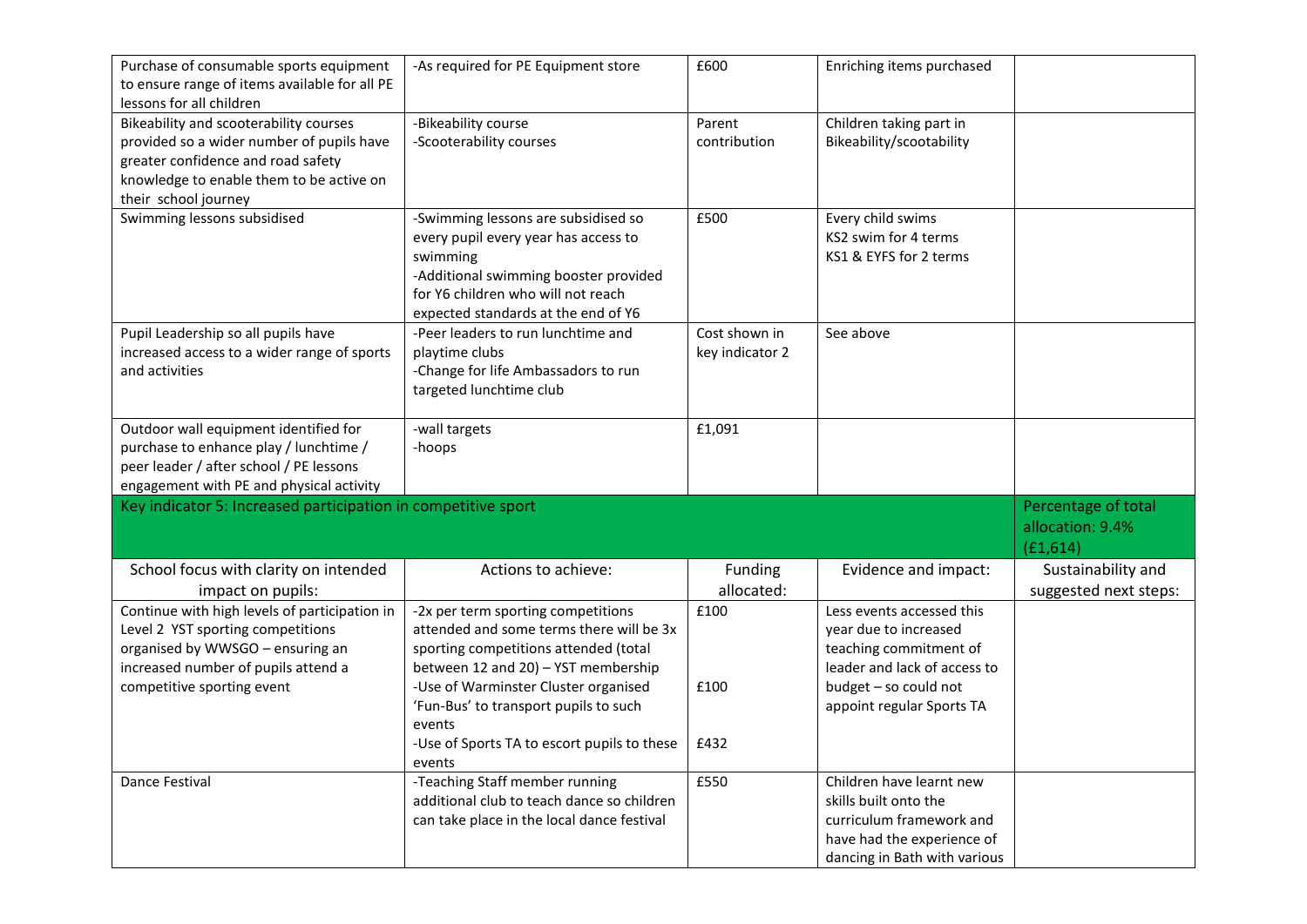| Purchase of consumable sports equipment<br>to ensure range of items available for all PE<br>lessons for all children                                                                          | -As required for PE Equipment store                                                                                                                                                                           | £600                             | Enriching items purchased                                                                                    |                                                     |
|-----------------------------------------------------------------------------------------------------------------------------------------------------------------------------------------------|---------------------------------------------------------------------------------------------------------------------------------------------------------------------------------------------------------------|----------------------------------|--------------------------------------------------------------------------------------------------------------|-----------------------------------------------------|
| Bikeability and scooterability courses<br>provided so a wider number of pupils have<br>greater confidence and road safety<br>knowledge to enable them to be active on<br>their school journey | -Bikeability course<br>-Scooterability courses                                                                                                                                                                | Parent<br>contribution           | Children taking part in<br>Bikeability/scootability                                                          |                                                     |
| Swimming lessons subsidised                                                                                                                                                                   | -Swimming lessons are subsidised so<br>every pupil every year has access to<br>swimming<br>-Additional swimming booster provided<br>for Y6 children who will not reach<br>expected standards at the end of Y6 | £500                             | Every child swims<br>KS2 swim for 4 terms<br>KS1 & EYFS for 2 terms                                          |                                                     |
| Pupil Leadership so all pupils have<br>increased access to a wider range of sports<br>and activities                                                                                          | -Peer leaders to run lunchtime and<br>playtime clubs<br>-Change for life Ambassadors to run<br>targeted lunchtime club                                                                                        | Cost shown in<br>key indicator 2 | See above                                                                                                    |                                                     |
| Outdoor wall equipment identified for<br>purchase to enhance play / lunchtime /                                                                                                               | -wall targets<br>-hoops                                                                                                                                                                                       | £1,091                           |                                                                                                              |                                                     |
| peer leader / after school / PE lessons<br>engagement with PE and physical activity                                                                                                           |                                                                                                                                                                                                               |                                  |                                                                                                              |                                                     |
| Key indicator 5: Increased participation in competitive sport                                                                                                                                 |                                                                                                                                                                                                               |                                  |                                                                                                              | Percentage of total<br>allocation: 9.4%<br>(E1,614) |
| School focus with clarity on intended                                                                                                                                                         | Actions to achieve:                                                                                                                                                                                           | Funding<br>allocated:            | Evidence and impact:                                                                                         | Sustainability and                                  |
| impact on pupils:<br>Continue with high levels of participation in<br>Level 2 YST sporting competitions<br>organised by WWSGO - ensuring an<br>increased number of pupils attend a            | -2x per term sporting competitions<br>attended and some terms there will be 3x<br>sporting competitions attended (total<br>between 12 and 20) - YST membership                                                | £100                             | Less events accessed this<br>year due to increased<br>teaching commitment of<br>leader and lack of access to | suggested next steps:                               |
| competitive sporting event                                                                                                                                                                    | -Use of Warminster Cluster organised<br>'Fun-Bus' to transport pupils to such<br>events<br>-Use of Sports TA to escort pupils to these<br>events                                                              | £100<br>£432                     | budget - so could not<br>appoint regular Sports TA                                                           |                                                     |